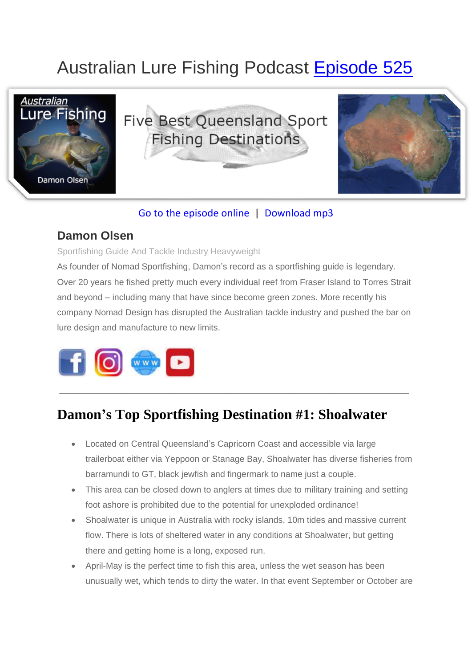# Australian Lure Fishing Podcast [Episode 525](https://doclures.com/five-best-sa-fishing-impoundments-alex-williams/)



#### [Go to the episode online](https://doclures.com/five-best-sa-fishing-impoundments-alex-williams/) | [Download mp3](https://traffic.libsyn.com/doclures/519-top-5-sa-impoundments-alex-williams.mp3)

#### **Damon Olsen**

Sportfishing Guide And Tackle Industry Heavyweight

As founder of Nomad Sportfishing, Damon's record as a sportfishing guide is legendary. Over 20 years he fished pretty much every individual reef from Fraser Island to Torres Strait and beyond – including many that have since become green zones. More recently his company Nomad Design has disrupted the Australian tackle industry and pushed the bar on lure design and manufacture to new limits.



## **Damon's Top Sportfishing Destination #1: Shoalwater**

**\_\_\_\_\_\_\_\_\_\_\_\_\_\_\_\_\_\_\_\_\_\_\_\_\_\_\_\_\_\_\_\_\_\_\_\_\_\_\_\_\_\_\_\_\_\_\_\_\_\_\_\_\_\_\_\_\_\_\_\_\_**

- Located on Central Queensland's Capricorn Coast and accessible via large trailerboat either via Yeppoon or Stanage Bay, Shoalwater has diverse fisheries from barramundi to GT, black jewfish and fingermark to name just a couple.
- This area can be closed down to anglers at times due to military training and setting foot ashore is prohibited due to the potential for unexploded ordinance!
- Shoalwater is unique in Australia with rocky islands, 10m tides and massive current flow. There is lots of sheltered water in any conditions at Shoalwater, but getting there and getting home is a long, exposed run.
- April-May is the perfect time to fish this area, unless the wet season has been unusually wet, which tends to dirty the water. In that event September or October are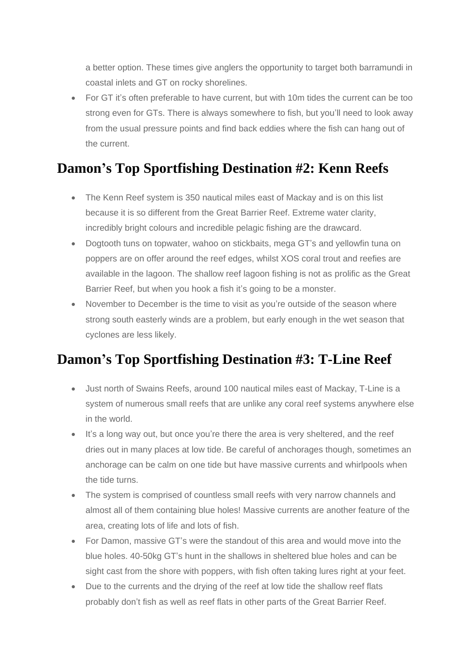a better option. These times give anglers the opportunity to target both barramundi in coastal inlets and GT on rocky shorelines.

• For GT it's often preferable to have current, but with 10m tides the current can be too strong even for GTs. There is always somewhere to fish, but you'll need to look away from the usual pressure points and find back eddies where the fish can hang out of the current.

#### **Damon's Top Sportfishing Destination #2: Kenn Reefs**

- The Kenn Reef system is 350 nautical miles east of Mackay and is on this list because it is so different from the Great Barrier Reef. Extreme water clarity, incredibly bright colours and incredible pelagic fishing are the drawcard.
- Dogtooth tuns on topwater, wahoo on stickbaits, mega GT's and yellowfin tuna on poppers are on offer around the reef edges, whilst XOS coral trout and reefies are available in the lagoon. The shallow reef lagoon fishing is not as prolific as the Great Barrier Reef, but when you hook a fish it's going to be a monster.
- November to December is the time to visit as you're outside of the season where strong south easterly winds are a problem, but early enough in the wet season that cyclones are less likely.

### **Damon's Top Sportfishing Destination #3: T-Line Reef**

- Just north of Swains Reefs, around 100 nautical miles east of Mackay, T-Line is a system of numerous small reefs that are unlike any coral reef systems anywhere else in the world.
- It's a long way out, but once you're there the area is very sheltered, and the reef dries out in many places at low tide. Be careful of anchorages though, sometimes an anchorage can be calm on one tide but have massive currents and whirlpools when the tide turns.
- The system is comprised of countless small reefs with very narrow channels and almost all of them containing blue holes! Massive currents are another feature of the area, creating lots of life and lots of fish.
- For Damon, massive GT's were the standout of this area and would move into the blue holes. 40-50kg GT's hunt in the shallows in sheltered blue holes and can be sight cast from the shore with poppers, with fish often taking lures right at your feet.
- Due to the currents and the drying of the reef at low tide the shallow reef flats probably don't fish as well as reef flats in other parts of the Great Barrier Reef.